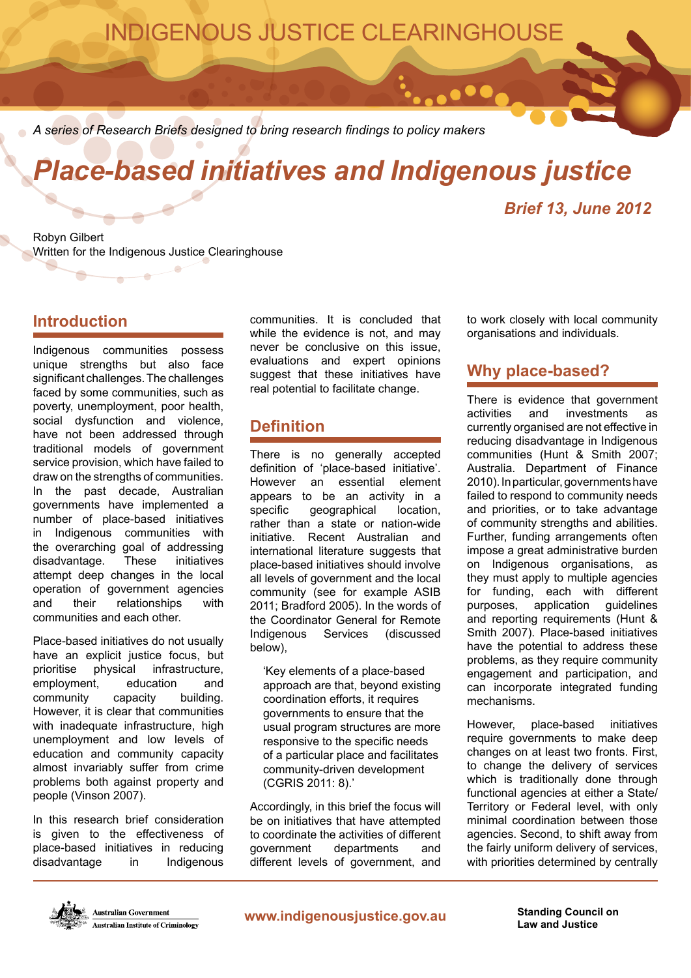## INDIGENOUS JUSTICE CLEARINGHOUSE

*A series of Research Briefs designed to bring research findings to policy makers*

# *Place-based initiatives and Indigenous justice*

## *Brief 13, June 2012*

Robyn Gilbert Written for the Indigenous Justice Clearinghouse

 $\overline{\phantom{a}}$ 

## **Introduction**

Indigenous communities possess unique strengths but also face significant challenges. The challenges faced by some communities, such as poverty, unemployment, poor health, social dysfunction and violence, have not been addressed through traditional models of government service provision, which have failed to draw on the strengths of communities. In the past decade, Australian governments have implemented a number of place-based initiatives in Indigenous communities with the overarching goal of addressing disadvantage. These initiatives attempt deep changes in the local operation of government agencies and their relationships with communities and each other.

Place-based initiatives do not usually have an explicit justice focus, but prioritise physical infrastructure, employment, education and community capacity building. However, it is clear that communities with inadequate infrastructure, high unemployment and low levels of education and community capacity almost invariably suffer from crime problems both against property and people (Vinson 2007).

In this research brief consideration is given to the effectiveness of place-based initiatives in reducing disadvantage in Indigenous

communities. It is concluded that while the evidence is not, and may never be conclusive on this issue, evaluations and expert opinions suggest that these initiatives have real potential to facilitate change.

## **Definition**

There is no generally accepted definition of 'place-based initiative'. However an essential element appears to be an activity in a specific geographical location, rather than a state or nation-wide initiative. Recent Australian and international literature suggests that place-based initiatives should involve all levels of government and the local community (see for example ASIB 2011; Bradford 2005). In the words of the Coordinator General for Remote Indigenous Services (discussed below),

'Key elements of a place-based approach are that, beyond existing coordination efforts, it requires governments to ensure that the usual program structures are more responsive to the specific needs of a particular place and facilitates community-driven development (CGRIS 2011: 8).'

Accordingly, in this brief the focus will be on initiatives that have attempted to coordinate the activities of different government departments and different levels of government, and

to work closely with local community organisations and individuals.

## **Why place-based?**

 $\bullet\bullet\bullet$ 

There is evidence that government activities and investments as currently organised are not effective in reducing disadvantage in Indigenous communities (Hunt & Smith 2007; Australia. Department of Finance 2010). In particular, governments have failed to respond to community needs and priorities, or to take advantage of community strengths and abilities. Further, funding arrangements often impose a great administrative burden on Indigenous organisations, as they must apply to multiple agencies for funding, each with different purposes, application guidelines and reporting requirements (Hunt & Smith 2007). Place-based initiatives have the potential to address these problems, as they require community engagement and participation, and can incorporate integrated funding mechanisms.

However, place-based initiatives require governments to make deep changes on at least two fronts. First, to change the delivery of services which is traditionally done through functional agencies at either a State/ Territory or Federal level, with only minimal coordination between those agencies. Second, to shift away from the fairly uniform delivery of services, with priorities determined by centrally

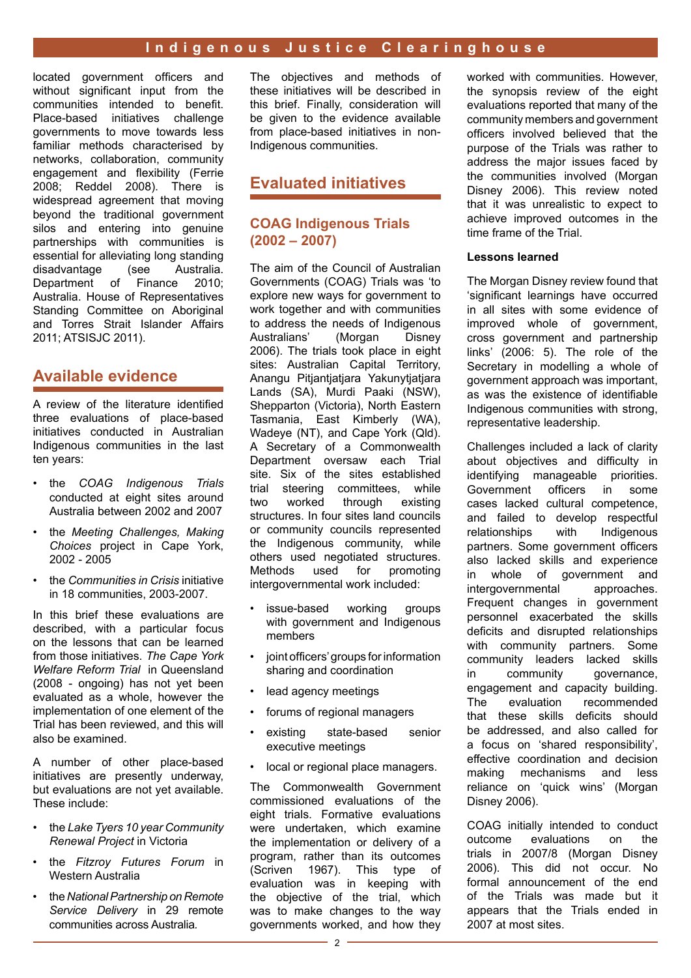located government officers and without significant input from the communities intended to benefit. Place-based initiatives challenge governments to move towards less familiar methods characterised by networks, collaboration, community engagement and flexibility (Ferrie 2008; Reddel 2008). There is widespread agreement that moving beyond the traditional government silos and entering into genuine partnerships with communities is essential for alleviating long standing disadvantage (see Australia. Department of Finance 2010; Australia. House of Representatives Standing Committee on Aboriginal and Torres Strait Islander Affairs 2011; ATSISJC 2011).

## **Available evidence**

A review of the literature identified three evaluations of place-based initiatives conducted in Australian Indigenous communities in the last ten years:

- the *COAG Indigenous Trials* conducted at eight sites around Australia between 2002 and 2007
- the *Meeting Challenges, Making Choices* project in Cape York, 2002 - 2005
- the *Communities in Crisis* initiative in 18 communities, 2003-2007.

In this brief these evaluations are described, with a particular focus on the lessons that can be learned from those initiatives. *The Cape York Welfare Reform Trial* in Queensland (2008 - ongoing) has not yet been evaluated as a whole, however the implementation of one element of the Trial has been reviewed, and this will also be examined.

A number of other place-based initiatives are presently underway, but evaluations are not yet available. These include:

- the *Lake Tyers 10 year Community Renewal Project* in Victoria
- the *Fitzroy Futures Forum* in Western Australia
- the *National Partnership on Remote Service Delivery* in 29 remote communities across Australia*.*

The objectives and methods of these initiatives will be described in this brief. Finally, consideration will be given to the evidence available from place-based initiatives in non-Indigenous communities.

## **Evaluated initiatives**

#### **COAG Indigenous Trials (2002 – 2007)**

The aim of the Council of Australian Governments (COAG) Trials was 'to explore new ways for government to work together and with communities to address the needs of Indigenous<br>Australians' (Morgan Disney Australians' 2006). The trials took place in eight sites: Australian Capital Territory, Anangu Pitjantjatjara Yakunytjatjara Lands (SA), Murdi Paaki (NSW), Shepparton (Victoria), North Eastern Tasmania, East Kimberly (WA), Wadeye (NT), and Cape York (Qld). A Secretary of a Commonwealth Department oversaw each Trial site. Six of the sites established trial steering committees, while<br>two worked through existing two worked through structures. In four sites land councils or community councils represented the Indigenous community, while others used negotiated structures. Methods used for promoting intergovernmental work included:

- issue-based working groups with government and Indigenous members
- joint officers' groups for information sharing and coordination
- lead agency meetings
- forums of regional managers
- existing state-based senior executive meetings
- local or regional place managers.

The Commonwealth Government commissioned evaluations of the eight trials. Formative evaluations were undertaken, which examine the implementation or delivery of a program, rather than its outcomes (Scriven 1967). This type of evaluation was in keeping with the objective of the trial, which was to make changes to the way governments worked, and how they worked with communities. However, the synopsis review of the eight evaluations reported that many of the community members and government officers involved believed that the purpose of the Trials was rather to address the major issues faced by the communities involved (Morgan Disney 2006). This review noted that it was unrealistic to expect to achieve improved outcomes in the time frame of the Trial.

#### **Lessons learned**

The Morgan Disney review found that 'significant learnings have occurred in all sites with some evidence of improved whole of government, cross government and partnership links' (2006: 5). The role of the Secretary in modelling a whole of government approach was important, as was the existence of identifiable Indigenous communities with strong, representative leadership.

Challenges included a lack of clarity about objectives and difficulty in identifying manageable priorities. Government officers in some cases lacked cultural competence, and failed to develop respectful relationships with Indigenous partners. Some government officers also lacked skills and experience in whole of government and intergovernmental approaches. Frequent changes in government personnel exacerbated the skills deficits and disrupted relationships with community partners. Some community leaders lacked skills in community governance, engagement and capacity building. The evaluation recommended that these skills deficits should be addressed, and also called for a focus on 'shared responsibility', effective coordination and decision making mechanisms and less reliance on 'quick wins' (Morgan Disney 2006).

COAG initially intended to conduct outcome evaluations on the trials in 2007/8 (Morgan Disney 2006). This did not occur. No formal announcement of the end of the Trials was made but it appears that the Trials ended in 2007 at most sites.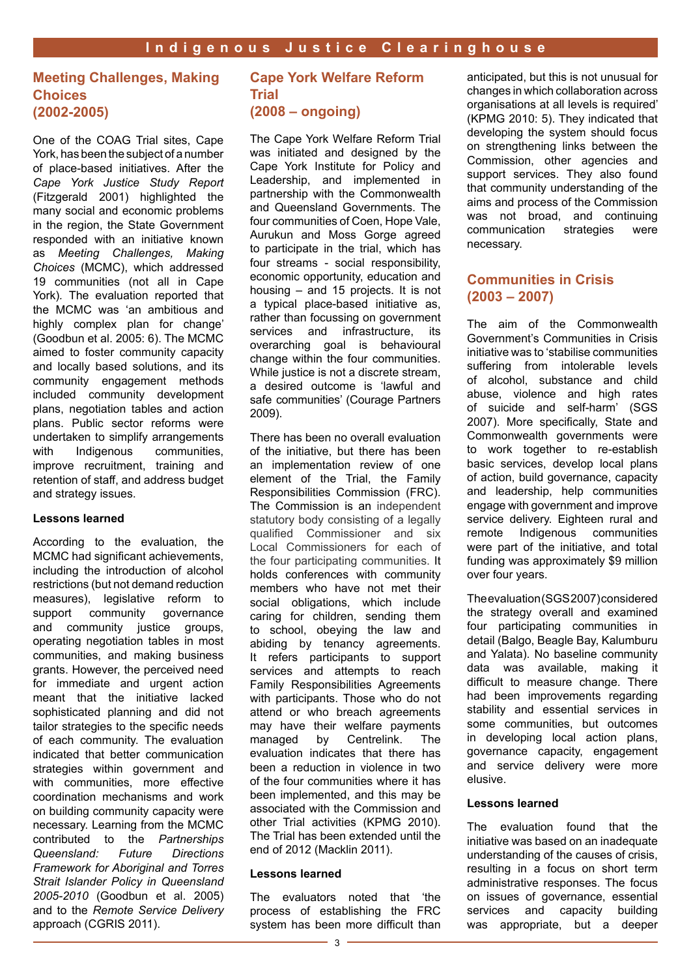#### **Meeting Challenges, Making Choices (2002-2005)**

One of the COAG Trial sites, Cape York, has been the subject of a number of place-based initiatives. After the *Cape York Justice Study Report* (Fitzgerald 2001) highlighted the many social and economic problems in the region, the State Government responded with an initiative known as *Meeting Challenges, Making Choices* (MCMC), which addressed 19 communities (not all in Cape York)*.* The evaluation reported that the MCMC was 'an ambitious and highly complex plan for change' (Goodbun et al. 2005: 6). The MCMC aimed to foster community capacity and locally based solutions, and its community engagement methods included community development plans, negotiation tables and action plans. Public sector reforms were undertaken to simplify arrangements<br>with lndigenous communities, communities. improve recruitment, training and retention of staff, and address budget and strategy issues.

#### **Lessons learned**

According to the evaluation, the MCMC had significant achievements, including the introduction of alcohol restrictions (but not demand reduction measures), legislative reform to support community governance and community justice groups, operating negotiation tables in most communities, and making business grants. However, the perceived need for immediate and urgent action meant that the initiative lacked sophisticated planning and did not tailor strategies to the specific needs of each community. The evaluation indicated that better communication strategies within government and with communities, more effective coordination mechanisms and work on building community capacity were necessary. Learning from the MCMC contributed to the *Partnerships Queensland: Future Directions Framework for Aboriginal and Torres Strait Islander Policy in Queensland 2005-2010* (Goodbun et al. 2005) and to the *Remote Service Delivery*  approach (CGRIS 2011).

#### **Cape York Welfare Reform Trial (2008 – ongoing)**

The Cape York Welfare Reform Trial was initiated and designed by the Cape York Institute for Policy and Leadership, and implemented in partnership with the Commonwealth and Queensland Governments. The four communities of Coen, Hope Vale, Aurukun and Moss Gorge agreed to participate in the trial, which has four streams - social responsibility, economic opportunity, education and housing – and 15 projects. It is not a typical place-based initiative as, rather than focussing on government services and infrastructure, its overarching goal is behavioural change within the four communities. While justice is not a discrete stream. a desired outcome is 'lawful and safe communities' (Courage Partners 2009).

There has been no overall evaluation of the initiative, but there has been an implementation review of one element of the Trial, the Family Responsibilities Commission (FRC). The Commission is an independent statutory body consisting of a legally qualified Commissioner and six Local Commissioners for each of the four participating communities. It holds conferences with community members who have not met their social obligations, which include caring for children, sending them to school, obeying the law and abiding by tenancy agreements. It refers participants to support services and attempts to reach Family Responsibilities Agreements with participants. Those who do not attend or who breach agreements may have their welfare payments managed by Centrelink. The evaluation indicates that there has been a reduction in violence in two of the four communities where it has been implemented, and this may be associated with the Commission and other Trial activities (KPMG 2010). The Trial has been extended until the end of 2012 (Macklin 2011).

#### **Lessons learned**

The evaluators noted that 'the process of establishing the FRC system has been more difficult than anticipated, but this is not unusual for changes in which collaboration across organisations at all levels is required' (KPMG 2010: 5). They indicated that developing the system should focus on strengthening links between the Commission, other agencies and support services. They also found that community understanding of the aims and process of the Commission was not broad, and continuing communication strategies were necessary.

#### **Communities in Crisis (2003 – 2007)**

The aim of the Commonwealth Government's Communities in Crisis initiative was to 'stabilise communities suffering from intolerable levels of alcohol, substance and child abuse, violence and high rates of suicide and self-harm' (SGS 2007). More specifically, State and Commonwealth governments were to work together to re-establish basic services, develop local plans of action, build governance, capacity and leadership, help communities engage with government and improve service delivery. Eighteen rural and remote Indigenous communities were part of the initiative, and total funding was approximately \$9 million over four years.

The evaluation (SGS 2007) considered the strategy overall and examined four participating communities in detail (Balgo, Beagle Bay, Kalumburu and Yalata). No baseline community data was available, making it difficult to measure change. There had been improvements regarding stability and essential services in some communities, but outcomes in developing local action plans, governance capacity, engagement and service delivery were more elusive.

#### **Lessons learned**

The evaluation found that the initiative was based on an inadequate understanding of the causes of crisis, resulting in a focus on short term administrative responses. The focus on issues of governance, essential services and capacity building was appropriate, but a deeper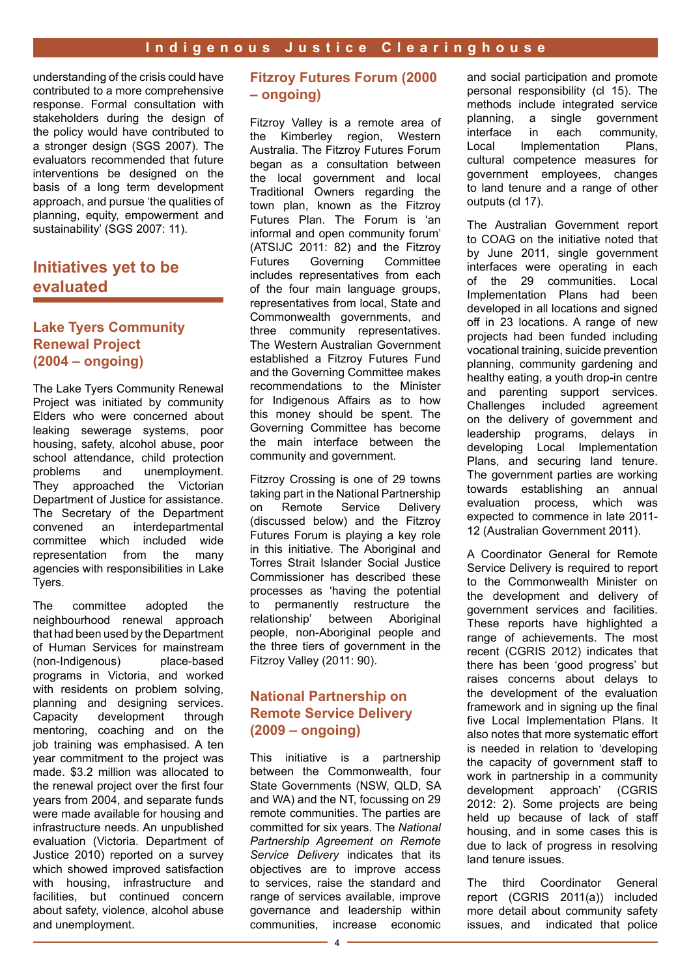understanding of the crisis could have contributed to a more comprehensive response. Formal consultation with stakeholders during the design of the policy would have contributed to a stronger design (SGS 2007). The evaluators recommended that future interventions be designed on the basis of a long term development approach, and pursue 'the qualities of planning, equity, empowerment and sustainability' (SGS 2007: 11).

## **Initiatives yet to be evaluated**

#### **Lake Tyers Community Renewal Project (2004 – ongoing)**

The Lake Tyers Community Renewal Project was initiated by community Elders who were concerned about leaking sewerage systems, poor housing, safety, alcohol abuse, poor school attendance, child protection problems and unemployment. They approached the Victorian Department of Justice for assistance. The Secretary of the Department convened an interdepartmental committee which included wide representation from the many agencies with responsibilities in Lake Tyers.

The committee adopted the neighbourhood renewal approach that had been used by the Department of Human Services for mainstream (non-Indigenous) place-based programs in Victoria, and worked with residents on problem solving, planning and designing services. Capacity development through mentoring, coaching and on the job training was emphasised. A ten year commitment to the project was made. \$3.2 million was allocated to the renewal project over the first four years from 2004, and separate funds were made available for housing and infrastructure needs. An unpublished evaluation (Victoria. Department of Justice 2010) reported on a survey which showed improved satisfaction with housing, infrastructure and facilities, but continued concern about safety, violence, alcohol abuse and unemployment.

#### **Fitzroy Futures Forum (2000 – ongoing)**

Fitzroy Valley is a remote area of the Kimberley region, Western Australia. The Fitzroy Futures Forum began as a consultation between the local government and local Traditional Owners regarding the town plan, known as the Fitzroy Futures Plan. The Forum is 'an informal and open community forum' (ATSIJC 2011: 82) and the Fitzroy Futures Governing Committee includes representatives from each of the four main language groups, representatives from local, State and Commonwealth governments, and three community representatives. The Western Australian Government established a Fitzroy Futures Fund and the Governing Committee makes recommendations to the Minister for Indigenous Affairs as to how this money should be spent. The Governing Committee has become the main interface between the community and government.

Fitzroy Crossing is one of 29 towns taking part in the National Partnership on Remote Service Delivery (discussed below) and the Fitzroy Futures Forum is playing a key role in this initiative. The Aboriginal and Torres Strait Islander Social Justice Commissioner has described these processes as 'having the potential to permanently restructure the relationship' between Aboriginal people, non-Aboriginal people and the three tiers of government in the Fitzroy Valley (2011: 90).

#### **National Partnership on Remote Service Delivery (2009 – ongoing)**

This initiative is a partnership between the Commonwealth, four State Governments (NSW, QLD, SA and WA) and the NT, focussing on 29 remote communities. The parties are committed for six years. The *National Partnership Agreement on Remote Service Delivery* indicates that its objectives are to improve access to services, raise the standard and range of services available, improve governance and leadership within communities, increase economic and social participation and promote personal responsibility (cl 15). The methods include integrated service planning, a single government<br>interface in each community, community, Local Implementation Plans, cultural competence measures for government employees, changes to land tenure and a range of other outputs (cl 17).

The Australian Government report to COAG on the initiative noted that by June 2011, single government interfaces were operating in each of the 29 communities. Local Implementation Plans had been developed in all locations and signed off in 23 locations. A range of new projects had been funded including vocational training, suicide prevention planning, community gardening and healthy eating, a youth drop-in centre and parenting support services. Challenges included agreement on the delivery of government and leadership programs, delays in developing Local Implementation Plans, and securing land tenure. The government parties are working towards establishing an annual evaluation process, which was expected to commence in late 2011- 12 (Australian Government 2011).

A Coordinator General for Remote Service Delivery is required to report to the Commonwealth Minister on the development and delivery of government services and facilities. These reports have highlighted a range of achievements. The most recent (CGRIS 2012) indicates that there has been 'good progress' but raises concerns about delays to the development of the evaluation framework and in signing up the final five Local Implementation Plans. It also notes that more systematic effort is needed in relation to 'developing the capacity of government staff to work in partnership in a community development approach' (CGRIS 2012: 2). Some projects are being held up because of lack of staff housing, and in some cases this is due to lack of progress in resolving land tenure issues.

The third Coordinator General report (CGRIS 2011(a)) included more detail about community safety issues, and indicated that police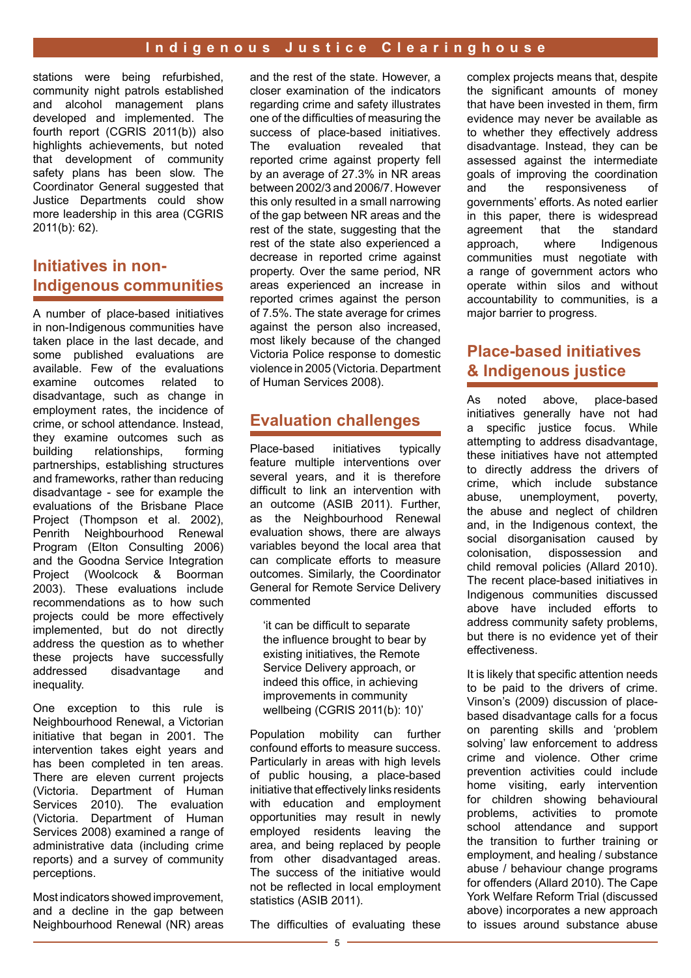stations were being refurbished, community night patrols established and alcohol management plans developed and implemented. The fourth report (CGRIS 2011(b)) also highlights achievements, but noted that development of community safety plans has been slow. The Coordinator General suggested that Justice Departments could show more leadership in this area (CGRIS 2011(b): 62).

## **Initiatives in non-Indigenous communities**

A number of place-based initiatives in non-Indigenous communities have taken place in the last decade, and some published evaluations are available. Few of the evaluations examine outcomes related to disadvantage, such as change in employment rates, the incidence of crime, or school attendance. Instead, they examine outcomes such as<br>building relationships, forming relationships, partnerships, establishing structures and frameworks, rather than reducing disadvantage - see for example the evaluations of the Brisbane Place Project (Thompson et al. 2002), Penrith Neighbourhood Renewal Program (Elton Consulting 2006) and the Goodna Service Integration Project (Woolcock & Boorman 2003). These evaluations include recommendations as to how such projects could be more effectively implemented, but do not directly address the question as to whether these projects have successfully addressed disadvantage and inequality.

One exception to this rule is Neighbourhood Renewal, a Victorian initiative that began in 2001. The intervention takes eight years and has been completed in ten areas. There are eleven current projects (Victoria. Department of Human Services 2010). The evaluation (Victoria. Department of Human Services 2008) examined a range of administrative data (including crime reports) and a survey of community perceptions.

Most indicators showed improvement, and a decline in the gap between Neighbourhood Renewal (NR) areas and the rest of the state. However, a closer examination of the indicators regarding crime and safety illustrates one of the difficulties of measuring the success of place-based initiatives. The evaluation revealed that reported crime against property fell by an average of 27.3% in NR areas between 2002/3 and 2006/7. However this only resulted in a small narrowing of the gap between NR areas and the rest of the state, suggesting that the rest of the state also experienced a decrease in reported crime against property. Over the same period, NR areas experienced an increase in reported crimes against the person of 7.5%. The state average for crimes against the person also increased, most likely because of the changed Victoria Police response to domestic violence in 2005 (Victoria. Department of Human Services 2008).

### **Evaluation challenges**

Place-based initiatives typically feature multiple interventions over several years, and it is therefore difficult to link an intervention with an outcome (ASIB 2011). Further, as the Neighbourhood Renewal evaluation shows, there are always variables beyond the local area that can complicate efforts to measure outcomes. Similarly, the Coordinator General for Remote Service Delivery commented

'it can be difficult to separate the influence brought to bear by existing initiatives, the Remote Service Delivery approach, or indeed this office, in achieving improvements in community wellbeing (CGRIS 2011(b): 10)'

Population mobility can further confound efforts to measure success. Particularly in areas with high levels of public housing, a place-based initiative that effectively links residents with education and employment opportunities may result in newly employed residents leaving the area, and being replaced by people from other disadvantaged areas. The success of the initiative would not be reflected in local employment statistics (ASIB 2011).

The difficulties of evaluating these

complex projects means that, despite the significant amounts of money that have been invested in them, firm evidence may never be available as to whether they effectively address disadvantage. Instead, they can be assessed against the intermediate goals of improving the coordination and the responsiveness of governments' efforts. As noted earlier in this paper, there is widespread agreement that the standard approach, where Indigenous communities must negotiate with a range of government actors who operate within silos and without accountability to communities, is a major barrier to progress.

## **Place-based initiatives & Indigenous justice**

As noted above, place-based initiatives generally have not had a specific justice focus. While attempting to address disadvantage, these initiatives have not attempted to directly address the drivers of crime, which include substance abuse, unemployment, poverty, the abuse and neglect of children and, in the Indigenous context, the social disorganisation caused by<br>colonisation, dispossession and dispossession and child removal policies (Allard 2010). The recent place-based initiatives in Indigenous communities discussed above have included efforts to address community safety problems, but there is no evidence yet of their effectiveness.

It is likely that specific attention needs to be paid to the drivers of crime. Vinson's (2009) discussion of placebased disadvantage calls for a focus on parenting skills and 'problem solving' law enforcement to address crime and violence. Other crime prevention activities could include home visiting, early intervention for children showing behavioural problems, activities to promote school attendance and support the transition to further training or employment, and healing / substance abuse / behaviour change programs for offenders (Allard 2010). The Cape York Welfare Reform Trial (discussed above) incorporates a new approach to issues around substance abuse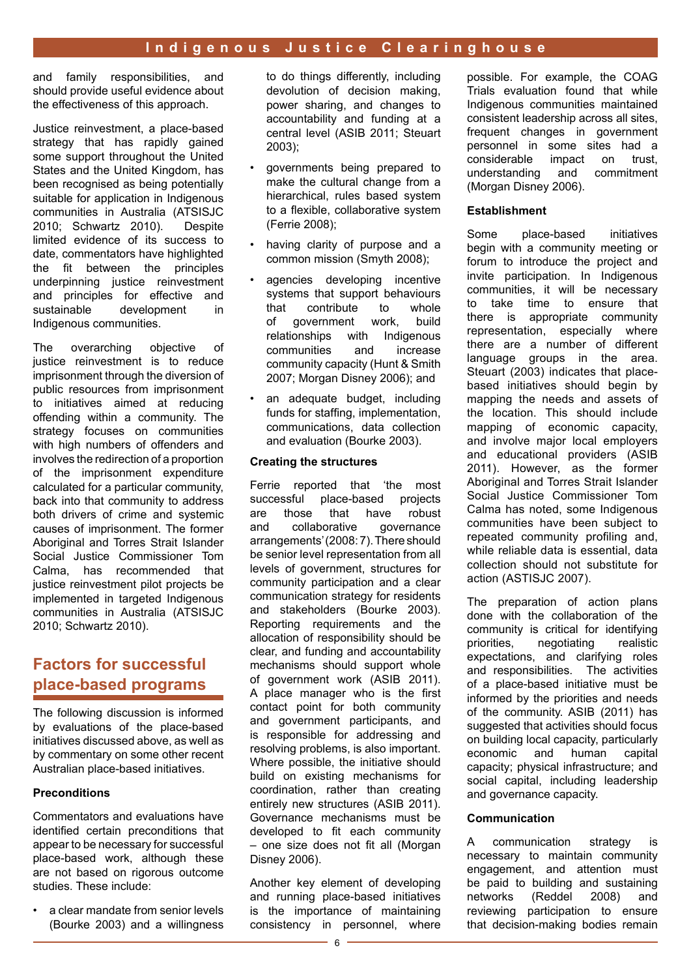and family responsibilities, and should provide useful evidence about the effectiveness of this approach.

Justice reinvestment, a place-based strategy that has rapidly gained some support throughout the United States and the United Kingdom, has been recognised as being potentially suitable for application in Indigenous communities in Australia (ATSISJC 2010; Schwartz 2010). Despite limited evidence of its success to date, commentators have highlighted the fit between the principles underpinning justice reinvestment and principles for effective and sustainable development in Indigenous communities.

The overarching objective of justice reinvestment is to reduce imprisonment through the diversion of public resources from imprisonment to initiatives aimed at reducing offending within a community. The strategy focuses on communities with high numbers of offenders and involves the redirection of a proportion of the imprisonment expenditure calculated for a particular community, back into that community to address both drivers of crime and systemic causes of imprisonment. The former Aboriginal and Torres Strait Islander Social Justice Commissioner Tom Calma, has recommended that justice reinvestment pilot projects be implemented in targeted Indigenous communities in Australia (ATSISJC 2010; Schwartz 2010).

## **Factors for successful place-based programs**

The following discussion is informed by evaluations of the place-based initiatives discussed above, as well as by commentary on some other recent Australian place-based initiatives.

#### **Preconditions**

Commentators and evaluations have identified certain preconditions that appear to be necessary for successful place-based work, although these are not based on rigorous outcome studies. These include:

a clear mandate from senior levels (Bourke 2003) and a willingness to do things differently, including devolution of decision making, power sharing, and changes to accountability and funding at a central level (ASIB 2011; Steuart 2003);

- governments being prepared to make the cultural change from a hierarchical, rules based system to a flexible, collaborative system (Ferrie 2008);
- having clarity of purpose and a common mission (Smyth 2008);
- agencies developing incentive systems that support behaviours that contribute to whole of government work, build relationships with Indigenous communities and increase community capacity (Hunt & Smith 2007; Morgan Disney 2006); and
- an adequate budget, including funds for staffing, implementation, communications, data collection and evaluation (Bourke 2003).

#### **Creating the structures**

Ferrie reported that 'the most successful place-based projects are those that have robust and collaborative governance arrangements' (2008: 7). There should be senior level representation from all levels of government, structures for community participation and a clear communication strategy for residents and stakeholders (Bourke 2003). Reporting requirements and the allocation of responsibility should be clear, and funding and accountability mechanisms should support whole of government work (ASIB 2011). A place manager who is the first contact point for both community and government participants, and is responsible for addressing and resolving problems, is also important. Where possible, the initiative should build on existing mechanisms for coordination, rather than creating entirely new structures (ASIB 2011). Governance mechanisms must be developed to fit each community – one size does not fit all (Morgan Disney 2006).

Another key element of developing and running place-based initiatives is the importance of maintaining consistency in personnel, where possible. For example, the COAG Trials evaluation found that while Indigenous communities maintained consistent leadership across all sites, frequent changes in government personnel in some sites had a considerable impact on trust, understanding and commitment (Morgan Disney 2006).

#### **Establishment**

Some place-based initiatives begin with a community meeting or forum to introduce the project and invite participation. In Indigenous communities, it will be necessary to take time to ensure that there is appropriate community representation, especially where there are a number of different language groups in the area. Steuart (2003) indicates that placebased initiatives should begin by mapping the needs and assets of the location. This should include mapping of economic capacity, and involve major local employers and educational providers (ASIB 2011). However, as the former Aboriginal and Torres Strait Islander Social Justice Commissioner Tom Calma has noted, some Indigenous communities have been subject to repeated community profiling and, while reliable data is essential, data collection should not substitute for action (ASTISJC 2007).

The preparation of action plans done with the collaboration of the community is critical for identifying priorities, negotiating realistic expectations, and clarifying roles and responsibilities. The activities of a place-based initiative must be informed by the priorities and needs of the community. ASIB (2011) has suggested that activities should focus on building local capacity, particularly economic and human capital capacity; physical infrastructure; and social capital, including leadership and governance capacity.

#### **Communication**

A communication strategy is necessary to maintain community engagement, and attention must be paid to building and sustaining<br>networks (Reddel 2008) and 2008) and reviewing participation to ensure that decision-making bodies remain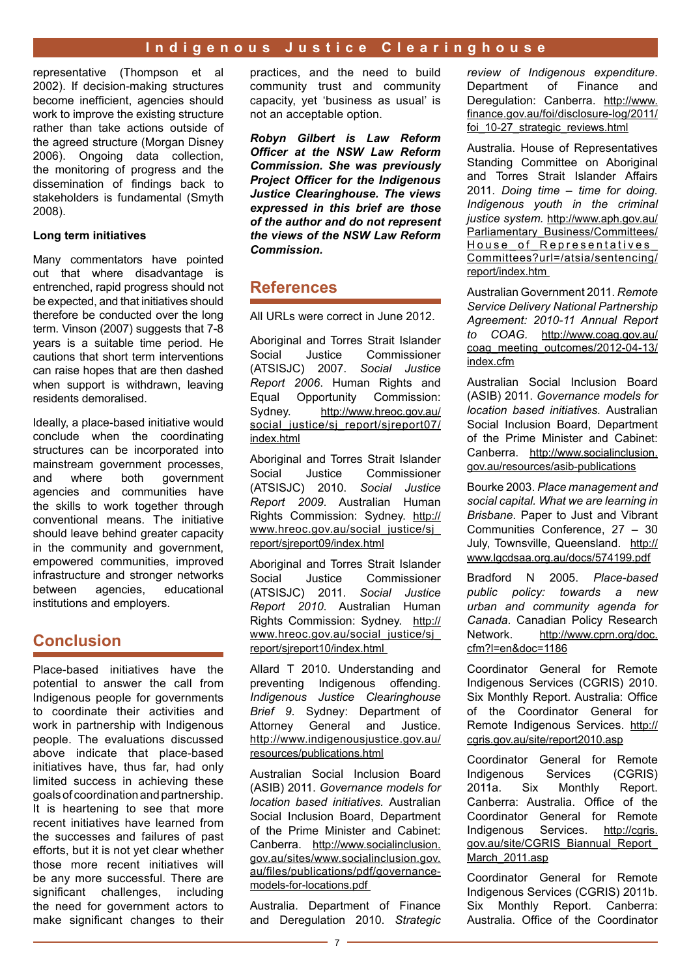representative (Thompson et al 2002). If decision-making structures become inefficient, agencies should work to improve the existing structure rather than take actions outside of the agreed structure (Morgan Disney 2006). Ongoing data collection, the monitoring of progress and the dissemination of findings back to stakeholders is fundamental (Smyth 2008).

#### **Long term initiatives**

Many commentators have pointed out that where disadvantage is entrenched, rapid progress should not be expected, and that initiatives should therefore be conducted over the long term. Vinson (2007) suggests that 7-8 years is a suitable time period. He cautions that short term interventions can raise hopes that are then dashed when support is withdrawn, leaving residents demoralised.

Ideally, a place-based initiative would conclude when the coordinating structures can be incorporated into mainstream government processes, and where both government agencies and communities have the skills to work together through conventional means. The initiative should leave behind greater capacity in the community and government, empowered communities, improved infrastructure and stronger networks<br>between agencies. educational between agencies, institutions and employers.

#### **Conclusion**

Place-based initiatives have the potential to answer the call from Indigenous people for governments to coordinate their activities and work in partnership with Indigenous people. The evaluations discussed above indicate that place-based initiatives have, thus far, had only limited success in achieving these goals of coordination and partnership. It is heartening to see that more recent initiatives have learned from the successes and failures of past efforts, but it is not yet clear whether those more recent initiatives will be any more successful. There are significant challenges, including the need for government actors to make significant changes to their practices, and the need to build community trust and community capacity, yet 'business as usual' is not an acceptable option.

*Robyn Gilbert is Law Reform Officer at the NSW Law Reform Commission. She was previously Project Officer for the Indigenous Justice Clearinghouse. The views expressed in this brief are those of the author and do not represent the views of the NSW Law Reform Commission.*

#### **References**

All URLs were correct in June 2012.

Aboriginal and Torres Strait Islander Social Justice Commissioner (ATSISJC) 2007. *Social Justice Report 2006*. Human Rights and Equal Opportunity Commission: Sydney. [http://www.hreoc.gov.au/](http://www.hreoc.gov.au/social_justice/sj_report/sjreport07/index.html) [social\\_justice/sj\\_report/sjreport07/](http://www.hreoc.gov.au/social_justice/sj_report/sjreport07/index.html) [index.html](http://www.hreoc.gov.au/social_justice/sj_report/sjreport07/index.html)

Aboriginal and Torres Strait Islander Social Justice Commissioner (ATSISJC) 2010. *Social Justice Report 2009*. Australian Human Rights Commission: Sydney. [http://](http://www.hreoc.gov.au/social_justice/sj_report/sjreport09/index.html) www.hreoc.gov.au/social\_justice/sj [report/sjreport09/index.html](http://www.hreoc.gov.au/social_justice/sj_report/sjreport09/index.html)

Aboriginal and Torres Strait Islander Social Justice Commissioner (ATSISJC) 2011. *Social Justice Report 2010*. Australian Human Rights Commission: Sydney. [http://](http://www.hreoc.gov.au/social_justice/sj_report/index.html) [www.hreoc.gov.au/social\\_justice/sj\\_](http://www.hreoc.gov.au/social_justice/sj_report/index.html) [report/sjreport10/index.html](http://www.hreoc.gov.au/social_justice/sj_report/index.html) 

Allard T 2010. Understanding and preventing Indigenous offending. *Indigenous Justice Clearinghouse Brief 9*. Sydney: Department of Attorney General and Justice. [http://www.indigenousjustice.gov.au/](http://www.indigenousjustice.gov.au/resources/publications.html) [resources/publications.html](http://www.indigenousjustice.gov.au/resources/publications.html)

Australian Social Inclusion Board (ASIB) 2011. *Governance models for location based initiatives.* Australian Social Inclusion Board, Department of the Prime Minister and Cabinet: Canberra. [http://www.socialinclusion.](http://www.socialinclusion.gov.au/sites/www.socialinclusion.gov.au/files/publications/pdf/governance-models-for-locations.pdf) [gov.au/sites/www.socialinclusion.gov.](http://www.socialinclusion.gov.au/sites/www.socialinclusion.gov.au/files/publications/pdf/governance-models-for-locations.pdf) [au/files/publications/pdf/governance](http://www.socialinclusion.gov.au/sites/www.socialinclusion.gov.au/files/publications/pdf/governance-models-for-locations.pdf)[models-for-locations.pdf](http://www.socialinclusion.gov.au/sites/www.socialinclusion.gov.au/files/publications/pdf/governance-models-for-locations.pdf) 

Australia. Department of Finance and Deregulation 2010. *Strategic*  *review of Indigenous expenditure*. Department of Finance and Deregulation: Canberra. [http://www.](http://www.finance.gov.au/foi/disclosure-log/2011/foi_10-27_strategic_reviews.html) [finance.gov.au/foi/disclosure-log/2011/](http://www.finance.gov.au/foi/disclosure-log/2011/foi_10-27_strategic_reviews.html) [foi\\_10-27\\_strategic\\_reviews.html](http://www.finance.gov.au/foi/disclosure-log/2011/foi_10-27_strategic_reviews.html)

Australia. House of Representatives Standing Committee on Aboriginal and Torres Strait Islander Affairs 2011. *Doing time – time for doing. Indigenous youth in the criminal justice system.* [http://www.aph.gov.au/](http://www.aph.gov.au/Parliamentary_Business/Committees/House_of_Representatives_Committees?url=/atsia/sentencing/report/index.htm ) [Parliamentary\\_Business/Committees/](http://www.aph.gov.au/Parliamentary_Business/Committees/House_of_Representatives_Committees?url=/atsia/sentencing/report/index.htm ) [House\\_of\\_Representatives\\_](http://www.aph.gov.au/Parliamentary_Business/Committees/House_of_Representatives_Committees?url=/atsia/sentencing/report/index.htm ) [Committees?url=/atsia/sentencing/](http://www.aph.gov.au/Parliamentary_Business/Committees/House_of_Representatives_Committees?url=/atsia/sentencing/report/index.htm ) [report/index.htm](http://www.aph.gov.au/Parliamentary_Business/Committees/House_of_Representatives_Committees?url=/atsia/sentencing/report/index.htm ) 

Australian Government 2011. *Remote Service Delivery National Partnership Agreement: 2010-11 Annual Report to COAG.* [http://www.coag.gov.au/](http://www.coag.gov.au/coag_meeting_outcomes/2012-04-13/index.cfm) [coag\\_meeting\\_outcomes/2012-04-13/](http://www.coag.gov.au/coag_meeting_outcomes/2012-04-13/index.cfm) [index.cfm](http://www.coag.gov.au/coag_meeting_outcomes/2012-04-13/index.cfm)

Australian Social Inclusion Board (ASIB) 2011. *Governance models for location based initiatives.* Australian Social Inclusion Board, Department of the Prime Minister and Cabinet: Canberra. [http://www.socialinclusion.](http://www.socialinclusion.gov.au/resources/asib-publications) [gov.au/resources/asib-publications](http://www.socialinclusion.gov.au/resources/asib-publications)

Bourke 2003. *Place management and social capital. What we are learning in Brisbane*. Paper to Just and Vibrant Communities Conference, 27 – 30 July, Townsville, Queensland. [http://](http://www.lgcdsaa.org.au/docs/574199.pdf) [www.lgcdsaa.org.au/docs/574199.pdf](http://www.lgcdsaa.org.au/docs/574199.pdf)

Bradford N 2005. *Place-based public policy: towards a new urban and community agenda for*  **Canada.** Canadian Policy Research<br>Network. http://www.cprn.org/doc. [http://www.cprn.org/doc.](http://www.cprn.org/doc.cfm?l=en&doc=1186) [cfm?l=en&doc=1186](http://www.cprn.org/doc.cfm?l=en&doc=1186)

Coordinator General for Remote Indigenous Services (CGRIS) 2010. Six Monthly Report. Australia: Office of the Coordinator General for Remote Indigenous Services. [http://](http://cgris.gov.au/site/report2010.asp) [cgris.gov.au/site/report2010.asp](http://cgris.gov.au/site/report2010.asp)

Coordinator General for Remote Indigenous Services (CGRIS) 2011a. Six Monthly Report. Canberra: Australia. Office of the Coordinator General for Remote Indigenous Services. [http://cgris.](http://cgris.gov.au/site/CGRIS_Biannual_Report_March_2011.asp) [gov.au/site/CGRIS\\_Biannual\\_Report\\_](http://cgris.gov.au/site/CGRIS_Biannual_Report_March_2011.asp) March 2011.asp

Coordinator General for Remote Indigenous Services (CGRIS) 2011b. Six Monthly Report. Canberra: Australia. Office of the Coordinator